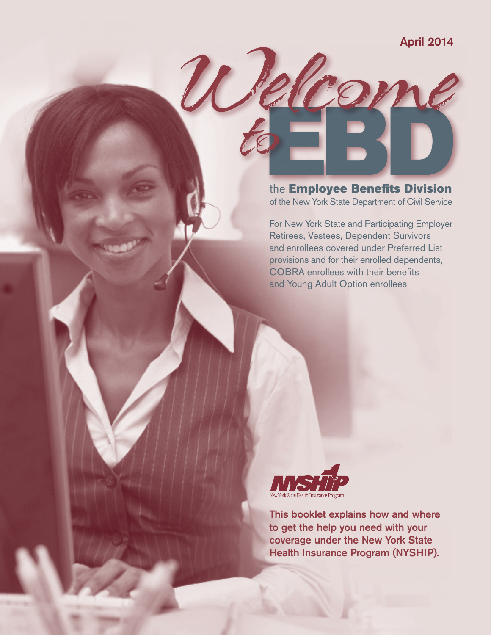The Employee Benefits Division of the New York State Department of Civil Service

 $\mathcal{U}$ 

to

For New York State and Participating Employer Retirees, Vestees, Dependent Survivors and enrollees covered under Preferred List provisions and for their enrolled dependents, COBRA enrollees with their benefits and Young Adult Option enrollees



This booklet explains how and where to get the help you need with your coverage under the New York State Health Insurance Program (NYSHIP).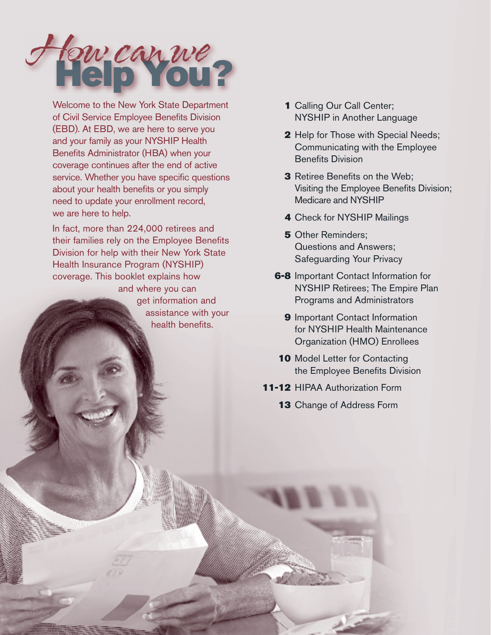

Welcome to the New York State Department of Civil Service Employee Benefits Division (EBD). At EBD, we are here to serve you and your family as your NYSHIP Health Benefits Administrator (HBA) when your coverage continues after the end of active service. Whether you have specific questions about your health benefits or you simply need to update your enrollment record, we are here to help.

In fact, more than 224,000 retirees and their families rely on the Employee Benefits Division for help with their New York State Health Insurance Program (NYSHIP) coverage. This booklet explains how and where you can get information and assistance with your health benefits.

- 1 Calling Our Call Center; NYSHIP in Another Language
- 2 Help for Those with Special Needs; Communicating with the Employee Benefits Division
- **3** Retiree Benefits on the Web; Visiting the Employee Benefits Division; Medicare and NYSHIP
- 4 Check for NYSHIP Mailings
- **5** Other Reminders: Questions and Answers; Safeguarding Your Privacy
- **6-8** Important Contact Information for NYSHIP Retirees; The Empire Plan Programs and Administrators
	- 9 Important Contact Information for NYSHIP Health Maintenance Organization (HMO) Enrollees
- 10 Model Letter for Contacting the Employee Benefits Division
- 11-12 HIPAA Authorization Form
	- 13 Change of Address Form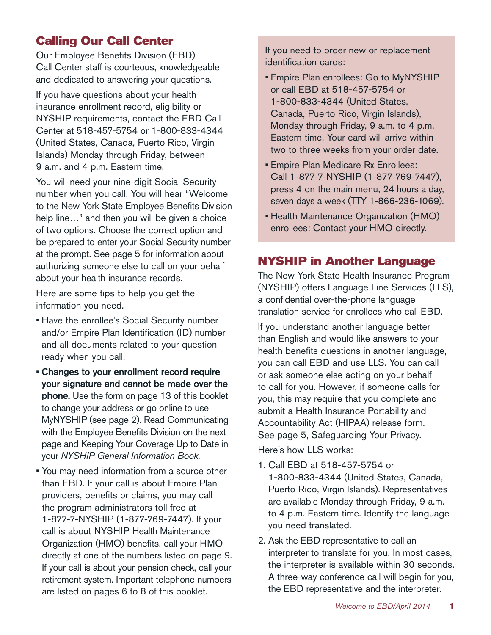# Calling Our Call Center

Our Employee Benefits Division (EBD) Call Center staff is courteous, knowledgeable and dedicated to answering your questions.

If you have questions about your health insurance enrollment record, eligibility or NYSHIP requirements, contact the EBD Call Center at 518-457-5754 or 1-800-833-4344 (United States, Canada, Puerto Rico, Virgin Islands) Monday through Friday, between 9 a.m. and 4 p.m. Eastern time.

You will need your nine-digit Social Security number when you call. You will hear "Welcome to the New York State Employee Benefits Division help line…" and then you will be given a choice of two options. Choose the correct option and be prepared to enter your Social Security number at the prompt. See page 5 for information about authorizing someone else to call on your behalf about your health insurance records.

Here are some tips to help you get the information you need.

- Have the enrollee's Social Security number and/or Empire Plan Identification (ID) number and all documents related to your question ready when you call.
- Changes to your enrollment record require your signature and cannot be made over the phone. Use the form on page 13 of this booklet to change your address or go online to use MyNYSHIP (see page 2). Read Communicating with the Employee Benefits Division on the next page and Keeping Your Coverage Up to Date in your *NYSHIP General Information Book*.
- You may need information from a source other than EBD. If your call is about Empire Plan providers, benefits or claims, you may call the program administrators toll free at 1-877-7-NYSHIP (1-877-769-7447). If your call is about NYSHIP Health Maintenance Organization (HMO) benefits, call your HMO directly at one of the numbers listed on page 9. If your call is about your pension check, call your retirement system. Important telephone numbers are listed on pages 6 to 8 of this booklet.

If you need to order new or replacement identification cards:

- Empire Plan enrollees: Go to MyNYSHIP or call EBD at 518-457-5754 or 1-800-833-4344 (United States, Canada, Puerto Rico, Virgin Islands), Monday through Friday, 9 a.m. to 4 p.m. Eastern time. Your card will arrive within two to three weeks from your order date.
- Empire Plan Medicare Rx Enrollees: Call 1-877-7-NYSHIP (1-877-769-7447), press 4 on the main menu, 24 hours a day, seven days a week (TTY 1-866-236-1069).
- Health Maintenance Organization (HMO) enrollees: Contact your HMO directly.

# NYSHIP in Another Language

The New York State Health Insurance Program (NYSHIP) offers Language Line Services (LLS), a confidential over-the-phone language translation service for enrollees who call EBD.

If you understand another language better than English and would like answers to your health benefits questions in another language, you can call EBD and use LLS. You can call or ask someone else acting on your behalf to call for you. However, if someone calls for you, this may require that you complete and submit a Health Insurance Portability and Accountability Act (HIPAA) release form. See page 5, Safeguarding Your Privacy. Here's how LLS works:

- 1. Call EBD at 518-457-5754 or 1-800-833-4344 (United States, Canada, Puerto Rico, Virgin Islands). Representatives are available Monday through Friday, 9 a.m. to 4 p.m. Eastern time. Identify the language you need translated.
- 2. Ask the EBD representative to call an interpreter to translate for you. In most cases, the interpreter is available within 30 seconds. A three-way conference call will begin for you, the EBD representative and the interpreter.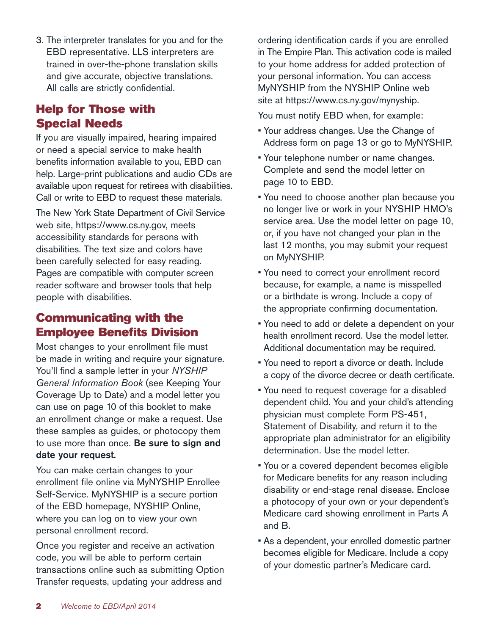3. The interpreter translates for you and for the EBD representative. LLS interpreters are trained in over-the-phone translation skills and give accurate, objective translations. All calls are strictly confidential.

# Help for Those with Special Needs

If you are visually impaired, hearing impaired or need a special service to make health benefits information available to you, EBD can help. Large-print publications and audio CDs are available upon request for retirees with disabilities. Call or write to EBD to request these materials.

The New York State Department of Civil Service web site, https://www.cs.ny.gov, meets accessibility standards for persons with disabilities. The text size and colors have been carefully selected for easy reading. Pages are compatible with computer screen reader software and browser tools that help people with disabilities.

# Communicating with the Employee Benefits Division

Most changes to your enrollment file must be made in writing and require your signature. You'll find a sample letter in your *NYSHIP General Information Book* (see Keeping Your Coverage Up to Date) and a model letter you can use on page 10 of this booklet to make an enrollment change or make a request. Use these samples as guides, or photocopy them to use more than once. Be sure to sign and date your request.

You can make certain changes to your enrollment file online via MyNYSHIP Enrollee Self-Service. MyNYSHIP is a secure portion of the EBD homepage, NYSHIP Online, where you can log on to view your own personal enrollment record.

Once you register and receive an activation code, you will be able to perform certain transactions online such as submitting Option Transfer requests, updating your address and

ordering identification cards if you are enrolled in The Empire Plan. This activation code is mailed to your home address for added protection of your personal information. You can access MyNYSHIP from the NYSHIP Online web site at https://www.cs.ny.gov/mynyship.

You must notify EBD when, for example:

- Your address changes. Use the Change of Address form on page 13 or go to MyNYSHIP.
- Your telephone number or name changes. Complete and send the model letter on page 10 to EBD.
- You need to choose another plan because you no longer live or work in your NYSHIP HMO's service area. Use the model letter on page 10, or, if you have not changed your plan in the last 12 months, you may submit your request on MyNYSHIP.
- You need to correct your enrollment record because, for example, a name is misspelled or a birthdate is wrong. Include a copy of the appropriate confirming documentation.
- You need to add or delete a dependent on your health enrollment record. Use the model letter. Additional documentation may be required.
- You need to report a divorce or death. Include a copy of the divorce decree or death certificate.
- You need to request coverage for a disabled dependent child. You and your child's attending physician must complete Form PS-451, Statement of Disability, and return it to the appropriate plan administrator for an eligibility determination. Use the model letter.
- You or a covered dependent becomes eligible for Medicare benefits for any reason including disability or end-stage renal disease. Enclose a photocopy of your own or your dependent's Medicare card showing enrollment in Parts A and B.
- As a dependent, your enrolled domestic partner becomes eligible for Medicare. Include a copy of your domestic partner's Medicare card.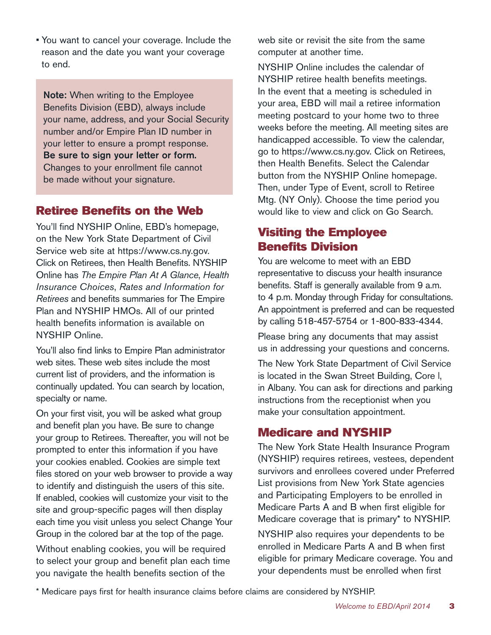• You want to cancel your coverage. Include the reason and the date you want your coverage to end.

Note: When writing to the Employee Benefits Division (EBD), always include your name, address, and your Social Security number and/or Empire Plan ID number in your letter to ensure a prompt response. Be sure to sign your letter or form. Changes to your enrollment file cannot be made without your signature.

## Retiree Benefits on the Web

You'll find NYSHIP Online, EBD's homepage, on the New York State Department of Civil Service web site at https://www.cs.ny.gov. Click on Retirees, then Health Benefits. NYSHIP Online has *The Empire Plan At A Glance*, *Health Insurance Choices*, *Rates and Information for Retirees* and benefits summaries for The Empire Plan and NYSHIP HMOs. All of our printed health benefits information is available on NYSHIP Online.

You'll also find links to Empire Plan administrator web sites. These web sites include the most current list of providers, and the information is continually updated. You can search by location, specialty or name.

On your first visit, you will be asked what group and benefit plan you have. Be sure to change your group to Retirees. Thereafter, you will not be prompted to enter this information if you have your cookies enabled. Cookies are simple text files stored on your web browser to provide a way to identify and distinguish the users of this site. If enabled, cookies will customize your visit to the site and group-specific pages will then display each time you visit unless you select Change Your Group in the colored bar at the top of the page.

Without enabling cookies, you will be required to select your group and benefit plan each time you navigate the health benefits section of the

web site or revisit the site from the same computer at another time.

NYSHIP Online includes the calendar of NYSHIP retiree health benefits meetings. In the event that a meeting is scheduled in your area, EBD will mail a retiree information meeting postcard to your home two to three weeks before the meeting. All meeting sites are handicapped accessible. To view the calendar, go to https://www.cs.ny.gov. Click on Retirees, then Health Benefits. Select the Calendar button from the NYSHIP Online homepage. Then, under Type of Event, scroll to Retiree Mtg. (NY Only). Choose the time period you would like to view and click on Go Search.

# Visiting the Employee Benefits Division

You are welcome to meet with an EBD representative to discuss your health insurance benefits. Staff is generally available from 9 a.m. to 4 p.m. Monday through Friday for consultations. An appointment is preferred and can be requested by calling 518-457-5754 or 1-800-833-4344.

Please bring any documents that may assist us in addressing your questions and concerns.

The New York State Department of Civil Service is located in the Swan Street Building, Core l, in Albany. You can ask for directions and parking instructions from the receptionist when you make your consultation appointment.

## Medicare and NYSHIP

The New York State Health Insurance Program (NYSHIP) requires retirees, vestees, dependent survivors and enrollees covered under Preferred List provisions from New York State agencies and Participating Employers to be enrolled in Medicare Parts A and B when first eligible for Medicare coverage that is primary\* to NYSHIP.

NYSHIP also requires your dependents to be enrolled in Medicare Parts A and B when first eligible for primary Medicare coverage. You and your dependents must be enrolled when first

\* Medicare pays first for health insurance claims before claims are considered by NYSHIP.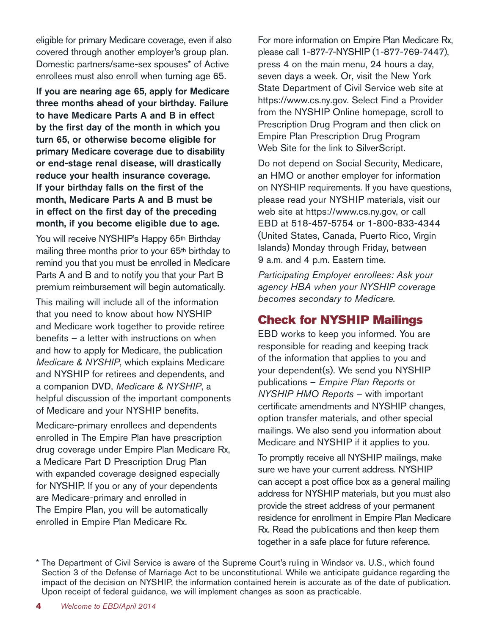eligible for primary Medicare coverage, even if also covered through another employer's group plan. Domestic partners/same-sex spouses\* of Active enrollees must also enroll when turning age 65.

If you are nearing age 65, apply for Medicare three months ahead of your birthday. Failure to have Medicare Parts A and B in effect by the first day of the month in which you turn 65, or otherwise become eligible for primary Medicare coverage due to disability or end-stage renal disease, will drastically reduce your health insurance coverage. If your birthday falls on the first of the month, Medicare Parts A and B must be in effect on the first day of the preceding month, if you become eligible due to age.

You will receive NYSHIP's Happy 65<sup>th</sup> Birthday mailing three months prior to your 65th birthday to remind you that you must be enrolled in Medicare Parts A and B and to notify you that your Part B premium reimbursement will begin automatically.

This mailing will include all of the information that you need to know about how NYSHIP and Medicare work together to provide retiree benefits – a letter with instructions on when and how to apply for Medicare, the publication *Medicare & NYSHIP*, which explains Medicare and NYSHIP for retirees and dependents, and a companion DVD, *Medicare & NYSHIP*, a helpful discussion of the important components of Medicare and your NYSHIP benefits.

Medicare-primary enrollees and dependents enrolled in The Empire Plan have prescription drug coverage under Empire Plan Medicare Rx, a Medicare Part D Prescription Drug Plan with expanded coverage designed especially for NYSHIP. If you or any of your dependents are Medicare-primary and enrolled in The Empire Plan, you will be automatically enrolled in Empire Plan Medicare Rx.

For more information on Empire Plan Medicare Rx, please call 1-877-7-NYSHIP (1-877-769-7447), press 4 on the main menu, 24 hours a day, seven days a week. Or, visit the New York State Department of Civil Service web site at https://www.cs.ny.gov. Select Find a Provider from the NYSHIP Online homepage, scroll to Prescription Drug Program and then click on Empire Plan Prescription Drug Program Web Site for the link to SilverScript.

Do not depend on Social Security, Medicare, an HMO or another employer for information on NYSHIP requirements. If you have questions, please read your NYSHIP materials, visit our web site at https://www.cs.ny.gov, or call EBD at 518-457-5754 or 1-800-833-4344 (United States, Canada, Puerto Rico, Virgin Islands) Monday through Friday, between 9 a.m. and 4 p.m. Eastern time.

*Participating Employer enrollees: Ask your agency HBA when your NYSHIP coverage becomes secondary to Medicare.* 

## Check for NYSHIP Mailings

EBD works to keep you informed. You are responsible for reading and keeping track of the information that applies to you and your dependent(s). We send you NYSHIP publications – *Empire Plan Reports* or *NYSHIP HMO Reports* – with important certificate amendments and NYSHIP changes, option transfer materials, and other special mailings. We also send you information about Medicare and NYSHIP if it applies to you.

To promptly receive all NYSHIP mailings, make sure we have your current address. NYSHIP can accept a post office box as a general mailing address for NYSHIP materials, but you must also provide the street address of your permanent residence for enrollment in Empire Plan Medicare Rx. Read the publications and then keep them together in a safe place for future reference.

<sup>\*</sup> The Department of Civil Service is aware of the Supreme Court's ruling in Windsor vs. U.S., which found Section 3 of the Defense of Marriage Act to be unconstitutional. While we anticipate guidance regarding the impact of the decision on NYSHIP, the information contained herein is accurate as of the date of publication. Upon receipt of federal guidance, we will implement changes as soon as practicable.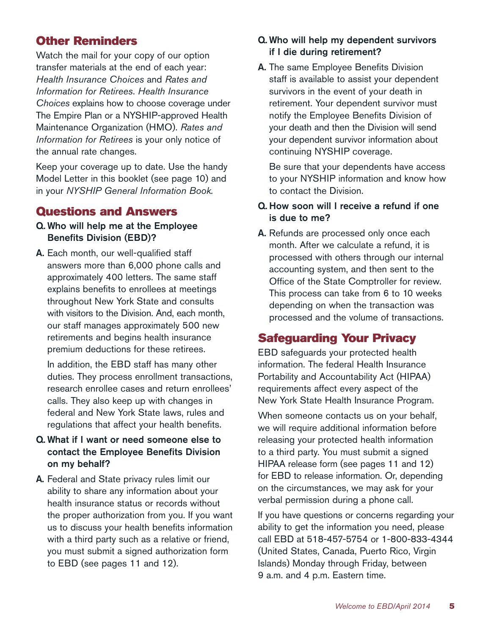# Other Reminders

Watch the mail for your copy of our option transfer materials at the end of each year: *Health Insurance Choices* and *Rates and Information for Retirees*. *Health Insurance Choices* explains how to choose coverage under The Empire Plan or a NYSHIP-approved Health Maintenance Organization (HMO). *Rates and Information for Retirees* is your only notice of the annual rate changes.

Keep your coverage up to date. Use the handy Model Letter in this booklet (see page 10) and in your *NYSHIP General Information Book.*

## Questions and Answers

- Q. Who will help me at the Employee Benefits Division (EBD)?
- A. Each month, our well-qualified staff answers more than 6,000 phone calls and approximately 400 letters. The same staff explains benefits to enrollees at meetings throughout New York State and consults with visitors to the Division. And, each month, our staff manages approximately 500 new retirements and begins health insurance premium deductions for these retirees.

In addition, the EBD staff has many other duties. They process enrollment transactions, research enrollee cases and return enrollees' calls. They also keep up with changes in federal and New York State laws, rules and regulations that affect your health benefits.

## Q. What if I want or need someone else to contact the Employee Benefits Division on my behalf?

A. Federal and State privacy rules limit our ability to share any information about your health insurance status or records without the proper authorization from you. If you want us to discuss your health benefits information with a third party such as a relative or friend, you must submit a signed authorization form to EBD (see pages 11 and 12).

#### Q. Who will help my dependent survivors if I die during retirement?

A. The same Employee Benefits Division staff is available to assist your dependent survivors in the event of your death in retirement. Your dependent survivor must notify the Employee Benefits Division of your death and then the Division will send your dependent survivor information about continuing NYSHIP coverage.

Be sure that your dependents have access to your NYSHIP information and know how to contact the Division.

#### Q. How soon will I receive a refund if one is due to me?

A. Refunds are processed only once each month. After we calculate a refund, it is processed with others through our internal accounting system, and then sent to the Office of the State Comptroller for review. This process can take from 6 to 10 weeks depending on when the transaction was processed and the volume of transactions.

## Safeguarding Your Privacy

EBD safeguards your protected health information. The federal Health Insurance Portability and Accountability Act (HIPAA) requirements affect every aspect of the New York State Health Insurance Program.

When someone contacts us on your behalf, we will require additional information before releasing your protected health information to a third party. You must submit a signed HIPAA release form (see pages 11 and 12) for EBD to release information. Or, depending on the circumstances, we may ask for your verbal permission during a phone call.

If you have questions or concerns regarding your ability to get the information you need, please call EBD at 518-457-5754 or 1-800-833-4344 (United States, Canada, Puerto Rico, Virgin Islands) Monday through Friday, between 9 a.m. and 4 p.m. Eastern time.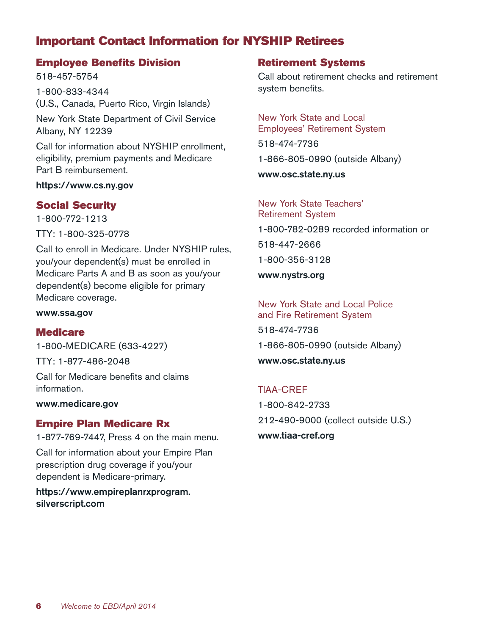# Important Contact Information for NYSHIP Retirees

## Employee Benefits Division

518-457-5754 1-800-833-4344 (U.S., Canada, Puerto Rico, Virgin Islands) New York State Department of Civil Service Albany, NY 12239

Call for information about NYSHIP enrollment, eligibility, premium payments and Medicare Part B reimbursement.

https://www.cs.ny.gov

## Social Security

1-800-772-1213

TTY: 1-800-325-0778

Call to enroll in Medicare. Under NYSHIP rules, you/your dependent(s) must be enrolled in Medicare Parts A and B as soon as you/your dependent(s) become eligible for primary Medicare coverage.

www.ssa.gov

## **Medicare**

1-800-MEDICARE (633-4227)

TTY: 1-877-486-2048

Call for Medicare benefits and claims information.

www.medicare.gov

## Empire Plan Medicare Rx

1-877-769-7447, Press 4 on the main menu.

Call for information about your Empire Plan prescription drug coverage if you/your dependent is Medicare-primary.

https://www.empireplanrxprogram. silverscript.com

## Retirement Systems

Call about retirement checks and retirement system benefits.

New York State and Local Employees' Retirement System

518-474-7736

1-866-805-0990 (outside Albany)

www.osc.state.ny.us

New York State Teachers' Retirement System 1-800-782-0289 recorded information or 518-447-2666 1-800-356-3128 www.nystrs.org

New York State and Local Police and Fire Retirement System 518-474-7736 1-866-805-0990 (outside Albany) www.osc.state.ny.us

TIAA-CREF 1-800-842-2733 212-490-9000 (collect outside U.S.) www.tiaa-cref.org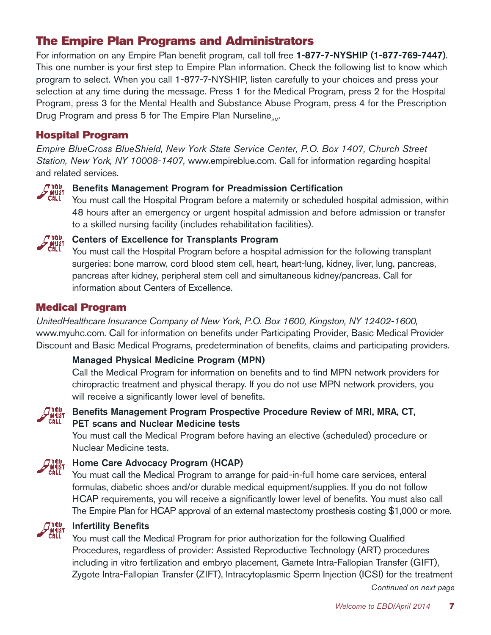# The Empire Plan Programs and Administrators

For information on any Empire Plan benefit program, call toll free 1-877-7-NYSHIP (1-877-769-7447). This one number is your first step to Empire Plan information. Check the following list to know which program to select. When you call 1-877-7-NYSHIP, listen carefully to your choices and press your selection at any time during the message. Press 1 for the Medical Program, press 2 for the Hospital Program, press 3 for the Mental Health and Substance Abuse Program, press 4 for the Prescription Drug Program and press 5 for The Empire Plan Nurseline<sub>sM</sub>.

## Hospital Program

*Empire BlueCross BlueShield, New York State Service Center, P.O. Box 1407, Church Street Station, New York, NY 10008-1407,* www.empireblue.com. Call for information regarding hospital and related services.



# **Ti<sup>nu</sup> Benefits Management Program for Preadmission Certification**<br>CALL You must call the Hospital Program before a maternity or scheduled

You must call the Hospital Program before a maternity or scheduled hospital admission, within 48 hours after an emergency or urgent hospital admission and before admission or transfer to a skilled nursing facility (includes rehabilitation facilities).



# **Centers of Excellence for Transplants Program**<br>CALL You must call the Hospital Program before a bospital

You must call the Hospital Program before a hospital admission for the following transplant surgeries: bone marrow, cord blood stem cell, heart, heart-lung, kidney, liver, lung, pancreas, pancreas after kidney, peripheral stem cell and simultaneous kidney/pancreas. Call for information about Centers of Excellence.

## Medical Program

*UnitedHealthcare Insurance Company of New York, P.O. Box 1600, Kingston, NY 12402-1600,*  www.myuhc.com. Call for information on benefits under Participating Provider, Basic Medical Provider Discount and Basic Medical Programs, predetermination of benefits, claims and participating providers.

## Managed Physical Medicine Program (MPN)

Call the Medical Program for information on benefits and to find MPN network providers for chiropractic treatment and physical therapy. If you do not use MPN network providers, you will receive a significantly lower level of benefits.



## *Diau* Benefits Management Program Prospective Procedure Review of MRI, MRA, CT,<br>Call DET scans and Nuclear Medicine tests PET scans and Nuclear Medicine tests

You must call the Medical Program before having an elective (scheduled) procedure or Nuclear Medicine tests.



# **Thay**<br>**Howard Home Care Advocacy Program (HCAP)**<br>CALL You must call the Medical Program to arran

You must call the Medical Program to arrange for paid-in-full home care services, enteral formulas, diabetic shoes and/or durable medical equipment/supplies. If you do not follow HCAP requirements, you will receive a significantly lower level of benefits. You must also call The Empire Plan for HCAP approval of an external mastectomy prosthesis costing \$1,000 or more.



# **The Infertility Benefits**<br>CALL You must call the M

You must call the Medical Program for prior authorization for the following Qualified Procedures, regardless of provider: Assisted Reproductive Technology (ART) procedures including in vitro fertilization and embryo placement, Gamete Intra-Fallopian Transfer (GIFT), Zygote Intra-Fallopian Transfer (ZIFT), Intracytoplasmic Sperm Injection (ICSI) for the treatment

*Continued on next page*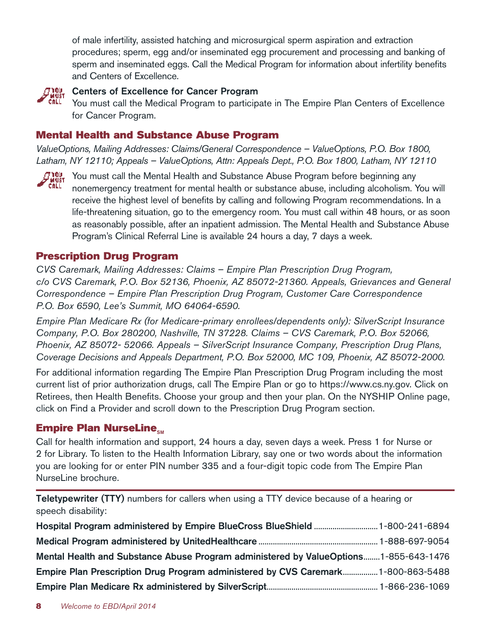of male infertility, assisted hatching and microsurgical sperm aspiration and extraction procedures; sperm, egg and/or inseminated egg procurement and processing and banking of sperm and inseminated eggs. Call the Medical Program for information about infertility benefits and Centers of Excellence.



#### Centers of Excellence for Cancer Program

You must call the Medical Program to participate in The Empire Plan Centers of Excellence for Cancer Program.

## Mental Health and Substance Abuse Program

*ValueOptions, Mailing Addresses: Claims/General Correspondence – ValueOptions, P.O. Box 1800, Latham, NY 12110; Appeals – ValueOptions, Attn: Appeals Dept., P.O. Box 1800, Latham, NY 12110*



 $\mathcal{F}^\texttt{10U}_\texttt{MUST}$  You must call the Mental Health and Substance Abuse Program before beginning any nonemergency treatment for mental health or substance abuse, including alcoholism. You will receive the highest level of benefits by calling and following Program recommendations. In a life-threatening situation, go to the emergency room. You must call within 48 hours, or as soon as reasonably possible, after an inpatient admission. The Mental Health and Substance Abuse Program's Clinical Referral Line is available 24 hours a day, 7 days a week.

## Prescription Drug Program

*CVS Caremark, Mailing Addresses: Claims – Empire Plan Prescription Drug Program, c/o CVS Caremark, P.O. Box 52136, Phoenix, AZ 85072-21360. Appeals, Grievances and General Correspondence – Empire Plan Prescription Drug Program, Customer Care Correspondence P.O. Box 6590, Lee's Summit, MO 64064-6590.* 

*Empire Plan Medicare Rx (for Medicare-primary enrollees/dependents only): SilverScript Insurance Company, P.O. Box 280200, Nashville, TN 37228. Claims – CVS Caremark, P.O. Box 52066, Phoenix, AZ 85072- 52066. Appeals – SilverScript Insurance Company, Prescription Drug Plans, Coverage Decisions and Appeals Department, P.O. Box 52000, MC 109, Phoenix, AZ 85072-2000.* 

For additional information regarding The Empire Plan Prescription Drug Program including the most current list of prior authorization drugs, call The Empire Plan or go to https://www.cs.ny.gov. Click on Retirees, then Health Benefits. Choose your group and then your plan. On the NYSHIP Online page, click on Find a Provider and scroll down to the Prescription Drug Program section.

## Empire Plan NurseLine<sub>sM</sub>

Call for health information and support, 24 hours a day, seven days a week. Press 1 for Nurse or 2 for Library. To listen to the Health Information Library, say one or two words about the information you are looking for or enter PIN number 335 and a four-digit topic code from The Empire Plan NurseLine brochure.

Teletypewriter (TTY) numbers for callers when using a TTY device because of a hearing or speech disability:

| Mental Health and Substance Abuse Program administered by ValueOptions1-855-643-1476 |  |
|--------------------------------------------------------------------------------------|--|
| Empire Plan Prescription Drug Program administered by CVS Caremark1-800-863-5488     |  |
|                                                                                      |  |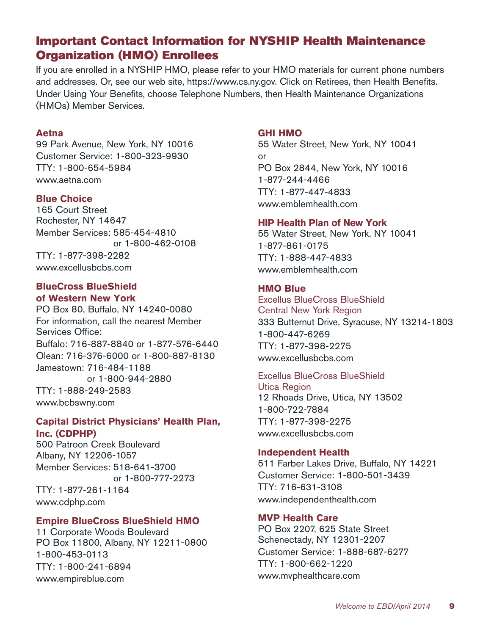## Important Contact Information for NYSHIP Health Maintenance Organization (HMO) Enrollees

If you are enrolled in a NYSHIP HMO, please refer to your HMO materials for current phone numbers and addresses. Or, see our web site, https://www.cs.ny.gov. Click on Retirees, then Health Benefits. Under Using Your Benefits, choose Telephone Numbers, then Health Maintenance Organizations (HMOs) Member Services.

#### **Aetna**

99 Park Avenue, New York, NY 10016 Customer Service: 1-800-323-9930 TTY: 1-800-654-5984 www.aetna.com

#### **Blue Choice**

165 Court Street Rochester, NY 14647 Member Services: 585-454-4810 or 1-800-462-0108 TTY: 1-877-398-2282 www.excellusbcbs.com

#### **BlueCross BlueShield of Western New York**

PO Box 80, Buffalo, NY 14240-0080 For information, call the nearest Member Services Office: Buffalo: 716-887-8840 or 1-877-576-6440 Olean: 716-376-6000 or 1-800-887-8130 Jamestown: 716-484-1188 or 1-800-944-2880 TTY: 1-888-249-2583 www.bcbswny.com

#### **Capital District Physicians' Health Plan, Inc. (CDPHP)**

500 Patroon Creek Boulevard Albany, NY 12206-1057 Member Services: 518-641-3700 or 1-800-777-2273 TTY: 1-877-261-1164 www.cdphp.com

#### **Empire BlueCross BlueShield HMO**

11 Corporate Woods Boulevard PO Box 11800, Albany, NY 12211-0800 1-800-453-0113 TTY: 1-800-241-6894 www.empireblue.com

#### **GHI HMO**

55 Water Street, New York, NY 10041 or PO Box 2844, New York, NY 10016 1-877-244-4466 TTY: 1-877-447-4833 www.emblemhealth.com

#### **HIP Health Plan of New York**

55 Water Street, New York, NY 10041 1-877-861-0175 TTY: 1-888-447-4833 www.emblemhealth.com

#### **HMO Blue**

Excellus BlueCross BlueShield Central New York Region 333 Butternut Drive, Syracuse, NY 13214-1803 1-800-447-6269 TTY: 1-877-398-2275 www.excellusbcbs.com

#### Excellus BlueCross BlueShield

Utica Region 12 Rhoads Drive, Utica, NY 13502 1-800-722-7884 TTY: 1-877-398-2275 www.excellusbcbs.com

#### **Independent Health**

511 Farber Lakes Drive, Buffalo, NY 14221 Customer Service: 1-800-501-3439 TTY: 716-631-3108 www.independenthealth.com

#### **MVP Health Care**

PO Box 2207, 625 State Street Schenectady, NY 12301-2207 Customer Service: 1-888-687-6277 TTY: 1-800-662-1220 www.mvphealthcare.com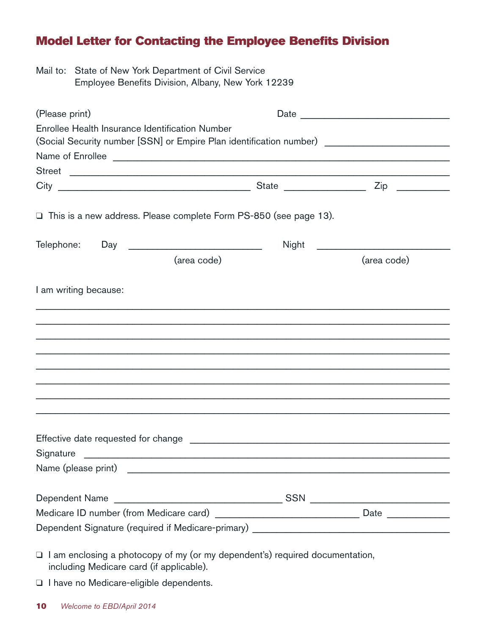# Model Letter for Contacting the Employee Benefits Division

Mail to: State of New York Department of Civil Service Employee Benefits Division, Albany, New York 12239

| (Please print)                                                                                                           |             |       | Date        |
|--------------------------------------------------------------------------------------------------------------------------|-------------|-------|-------------|
| Enrollee Health Insurance Identification Number                                                                          |             |       |             |
| (Social Security number [SSN] or Empire Plan identification number) _______________________________                      |             |       |             |
| Name of Enrollee                                                                                                         |             |       |             |
| Street                                                                                                                   |             |       |             |
|                                                                                                                          |             |       |             |
| □ This is a new address. Please complete Form PS-850 (see page 13).                                                      |             |       |             |
|                                                                                                                          |             | Night |             |
|                                                                                                                          | (area code) |       | (area code) |
| I am writing because:                                                                                                    |             |       |             |
|                                                                                                                          |             |       |             |
|                                                                                                                          |             |       |             |
|                                                                                                                          |             |       |             |
|                                                                                                                          |             |       |             |
|                                                                                                                          |             |       |             |
|                                                                                                                          |             |       |             |
|                                                                                                                          |             |       |             |
|                                                                                                                          |             |       |             |
|                                                                                                                          |             |       |             |
| Signature                                                                                                                |             |       |             |
|                                                                                                                          |             |       |             |
|                                                                                                                          |             |       |             |
|                                                                                                                          |             |       |             |
| Dependent Signature (required if Medicare-primary) ______________________________                                        |             |       |             |
| I am enclosing a photocopy of my (or my dependent's) required documentation,<br>including Medicare card (if applicable). |             |       |             |

I have no Medicare-eligible dependents.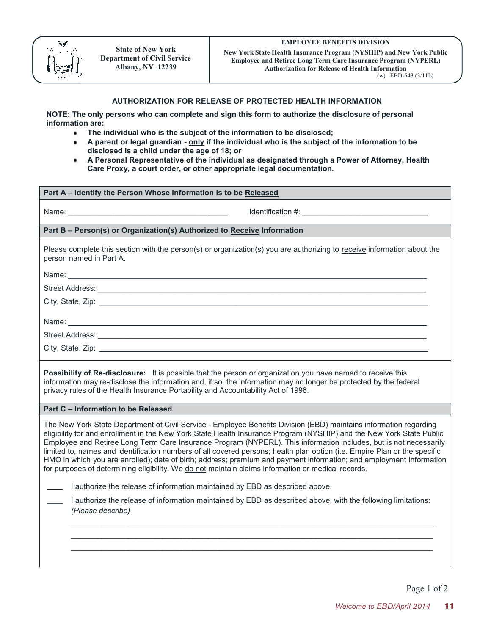

**New York State Health Insurance Program (NYSHIP) and New York Public Employee and Retiree Long Term Care Insurance Program (NYPERL) Authorization for Release of Health Information**  (w) EBD-543 (3/11L)

#### **AUTHORIZATION FOR RELEASE OF PROTECTED HEALTH INFORMATION**

**NOTE: The only persons who can complete and sign this form to authorize the disclosure of personal information are:** 

- **The individual who is the subject of the information to be disclosed;**
- **A parent or legal guardian only if the individual who is the subject of the information to be disclosed is a child under the age of 18; or**
- **A Personal Representative of the individual as designated through a Power of Attorney, Health Care Proxy, a court order, or other appropriate legal documentation.**

#### **Part A – Identify the Person Whose Information is to be Released**

Name:  $\blacksquare$ 

#### **Part B – Person(s) or Organization(s) Authorized to Receive Information**

Please complete this section with the person(s) or organization(s) you are authorizing to receive information about the person named in Part A.

Name: \_\_\_\_\_\_\_\_\_\_\_\_\_\_\_\_\_\_\_\_\_\_\_\_\_\_\_\_\_\_\_\_\_\_\_\_\_\_\_\_\_\_\_\_\_\_\_\_\_\_\_\_\_\_\_\_\_\_\_\_\_\_\_\_\_\_\_\_\_\_\_\_\_\_\_\_\_\_\_\_\_\_\_\_\_\_\_\_\_\_\_\_\_\_

Street Address: \_\_\_\_\_\_\_\_\_\_\_\_\_\_\_\_\_\_\_\_\_\_\_\_\_\_\_\_\_\_\_\_\_\_\_\_\_\_\_\_\_\_\_\_\_\_\_\_\_\_\_\_\_\_\_\_\_\_\_\_\_\_\_\_\_\_\_\_\_\_\_\_\_\_\_\_\_\_\_\_\_\_\_\_\_\_

City, State, Zip: \_\_\_\_\_\_\_\_\_\_\_\_\_\_\_\_\_\_\_\_\_\_\_\_\_\_\_\_\_\_\_\_\_\_\_\_\_\_\_\_\_\_\_\_\_\_\_\_\_\_\_\_\_\_\_\_\_\_\_\_\_\_\_\_\_\_\_\_\_\_\_\_\_\_\_\_\_\_\_\_\_\_\_\_\_\_

Name: \_\_\_\_\_\_\_\_\_\_\_\_\_\_\_\_\_\_\_\_\_\_\_\_\_\_\_\_\_\_\_\_\_\_\_\_\_\_\_\_\_\_\_\_\_\_\_\_\_\_\_\_\_\_\_\_\_\_\_\_\_\_\_\_\_\_\_\_\_\_\_\_\_\_\_\_\_\_\_\_\_\_\_\_\_\_\_\_\_\_\_\_\_\_

Street Address: \_\_\_\_\_\_\_\_\_\_\_\_\_\_\_\_\_\_\_\_\_\_\_\_\_\_\_\_\_\_\_\_\_\_\_\_\_\_\_\_\_\_\_\_\_\_\_\_\_\_\_\_\_\_\_\_\_\_\_\_\_\_\_\_\_\_\_\_\_\_\_\_\_\_\_\_\_\_\_\_\_\_\_\_\_\_

City, State, Zip: \_\_\_\_\_\_\_\_\_\_\_\_\_\_\_\_\_\_\_\_\_\_\_\_\_\_\_\_\_\_\_\_\_\_\_\_\_\_\_\_\_\_\_\_\_\_\_\_\_\_\_\_\_\_\_\_\_\_\_\_\_\_\_\_\_\_\_\_\_\_\_\_\_\_\_\_\_\_\_\_\_\_\_\_\_\_

**Possibility of Re-disclosure:** It is possible that the person or organization you have named to receive this information may re-disclose the information and, if so, the information may no longer be protected by the federal privacy rules of the Health Insurance Portability and Accountability Act of 1996.

#### **Part C – Information to be Released**

The New York State Department of Civil Service - Employee Benefits Division (EBD) maintains information regarding eligibility for and enrollment in the New York State Health Insurance Program (NYSHIP) and the New York State Public Employee and Retiree Long Term Care Insurance Program (NYPERL). This information includes, but is not necessarily limited to, names and identification numbers of all covered persons; health plan option (i.e. Empire Plan or the specific HMO in which you are enrolled); date of birth; address; premium and payment information; and employment information for purposes of determining eligibility. We do not maintain claims information or medical records.

\_\_\_\_ I authorize the release of information maintained by EBD as described above.

\_\_\_\_ I authorize the release of information maintained by EBD as described above, with the following limitations: *(Please describe)*

 $\_$  ,  $\_$  ,  $\_$  ,  $\_$  ,  $\_$  ,  $\_$  ,  $\_$  ,  $\_$  ,  $\_$  ,  $\_$  ,  $\_$  ,  $\_$  ,  $\_$  ,  $\_$  ,  $\_$  ,  $\_$  ,  $\_$  ,  $\_$  ,  $\_$  ,  $\_$  ,  $\_$  ,  $\_$  ,  $\_$  ,  $\_$  ,  $\_$  ,  $\_$  ,  $\_$  ,  $\_$  ,  $\_$  ,  $\_$  ,  $\_$  ,  $\_$  ,  $\_$  ,  $\_$  ,  $\_$  ,  $\_$  ,  $\_$  ,  $\_$  ,  $\_$  ,  $\_$  ,  $\_$  ,  $\_$  ,  $\_$  ,  $\_$  ,  $\_$  ,  $\_$  ,  $\_$  ,  $\_$  ,  $\_$  ,  $\_$  ,  $\_$  ,  $\_$  ,  $\_$  ,  $\_$  ,  $\_$  ,  $\_$  ,  $\_$  ,  $\_$  ,  $\_$  ,  $\_$  ,  $\_$  ,  $\_$  ,  $\_$  ,  $\_$  ,  $\_$  ,  $\_$  ,  $\_$  ,  $\_$  ,  $\_$  ,  $\_$  ,  $\_$  ,  $\_$  ,  $\_$  ,  $\_$  ,  $\_$  ,  $\_$  ,  $\_$  ,  $\_$  ,  $\_$  ,  $\_$  ,  $\_$  ,  $\_$  ,  $\_$  ,  $\_$  ,  $\_$  ,  $\_$  ,  $\_$  ,  $\_$  ,  $\_$  ,  $\_$  ,  $\_$  ,  $\_$  ,  $\_$  ,  $\_$  ,  $\_$  ,  $\_$  ,  $\_$  ,  $\_$  ,  $\_$  ,  $\_$  ,  $\_$  ,  $\_$  ,  $\_$  ,  $\_$  ,  $\_$  ,  $\_$  ,  $\_$  ,  $\_$  ,  $\_$  ,  $\_$  ,  $\_$  ,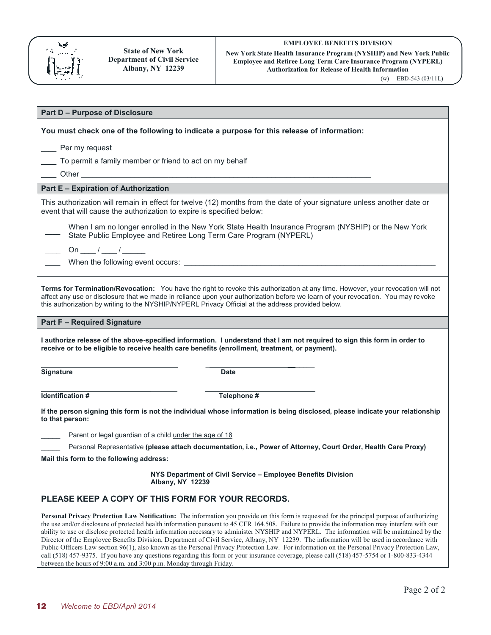

w **YOFK State Health Insurance Program (NYSHIP) and New YOFK Pub**<br>Employee and Retiree Long Term Care Insurance Program (NYPERL) **New York State Health Insurance Program (NYSHIP) and New York Public Authorization for Release of Health Information** 

(w) EBD-543 (03/11L)

| <b>Part D - Purpose of Disclosure</b>                                                                                                                                                                                                                                                                                                                                                                                                         |                                                                                                                                                                                                                                                                      |  |  |  |
|-----------------------------------------------------------------------------------------------------------------------------------------------------------------------------------------------------------------------------------------------------------------------------------------------------------------------------------------------------------------------------------------------------------------------------------------------|----------------------------------------------------------------------------------------------------------------------------------------------------------------------------------------------------------------------------------------------------------------------|--|--|--|
| You must check one of the following to indicate a purpose for this release of information:                                                                                                                                                                                                                                                                                                                                                    |                                                                                                                                                                                                                                                                      |  |  |  |
| Per my request                                                                                                                                                                                                                                                                                                                                                                                                                                |                                                                                                                                                                                                                                                                      |  |  |  |
|                                                                                                                                                                                                                                                                                                                                                                                                                                               |                                                                                                                                                                                                                                                                      |  |  |  |
| To permit a family member or friend to act on my behalf                                                                                                                                                                                                                                                                                                                                                                                       |                                                                                                                                                                                                                                                                      |  |  |  |
|                                                                                                                                                                                                                                                                                                                                                                                                                                               |                                                                                                                                                                                                                                                                      |  |  |  |
| <b>Part E - Expiration of Authorization</b>                                                                                                                                                                                                                                                                                                                                                                                                   |                                                                                                                                                                                                                                                                      |  |  |  |
| event that will cause the authorization to expire is specified below:                                                                                                                                                                                                                                                                                                                                                                         | This authorization will remain in effect for twelve (12) months from the date of your signature unless another date or                                                                                                                                               |  |  |  |
| State Public Employee and Retiree Long Term Care Program (NYPERL)                                                                                                                                                                                                                                                                                                                                                                             | When I am no longer enrolled in the New York State Health Insurance Program (NYSHIP) or the New York                                                                                                                                                                 |  |  |  |
| On ______ / ______ / ________                                                                                                                                                                                                                                                                                                                                                                                                                 |                                                                                                                                                                                                                                                                      |  |  |  |
|                                                                                                                                                                                                                                                                                                                                                                                                                                               |                                                                                                                                                                                                                                                                      |  |  |  |
|                                                                                                                                                                                                                                                                                                                                                                                                                                               |                                                                                                                                                                                                                                                                      |  |  |  |
| this authorization by writing to the NYSHIP/NYPERL Privacy Official at the address provided below.                                                                                                                                                                                                                                                                                                                                            | Terms for Termination/Revocation: You have the right to revoke this authorization at any time. However, your revocation will not<br>affect any use or disclosure that we made in reliance upon your authorization before we learn of your revocation. You may revoke |  |  |  |
| <b>Part F - Required Signature</b>                                                                                                                                                                                                                                                                                                                                                                                                            |                                                                                                                                                                                                                                                                      |  |  |  |
| I authorize release of the above-specified information. I understand that I am not required to sign this form in order to<br>receive or to be eligible to receive health care benefits (enrollment, treatment, or payment).                                                                                                                                                                                                                   |                                                                                                                                                                                                                                                                      |  |  |  |
| <b>Signature</b>                                                                                                                                                                                                                                                                                                                                                                                                                              | <b>Date</b>                                                                                                                                                                                                                                                          |  |  |  |
| Identification #                                                                                                                                                                                                                                                                                                                                                                                                                              | Telephone #                                                                                                                                                                                                                                                          |  |  |  |
| to that person:                                                                                                                                                                                                                                                                                                                                                                                                                               | If the person signing this form is not the individual whose information is being disclosed, please indicate your relationship                                                                                                                                        |  |  |  |
| Parent or legal guardian of a child under the age of 18                                                                                                                                                                                                                                                                                                                                                                                       |                                                                                                                                                                                                                                                                      |  |  |  |
|                                                                                                                                                                                                                                                                                                                                                                                                                                               | Personal Representative (please attach documentation, i.e., Power of Attorney, Court Order, Health Care Proxy)                                                                                                                                                       |  |  |  |
| Mail this form to the following address:                                                                                                                                                                                                                                                                                                                                                                                                      |                                                                                                                                                                                                                                                                      |  |  |  |
| <b>Albany, NY 12239</b>                                                                                                                                                                                                                                                                                                                                                                                                                       | NYS Department of Civil Service - Employee Benefits Division                                                                                                                                                                                                         |  |  |  |
| PLEASE KEEP A COPY OF THIS FORM FOR YOUR RECORDS.                                                                                                                                                                                                                                                                                                                                                                                             |                                                                                                                                                                                                                                                                      |  |  |  |
| the use and/or disclosure of protected health information pursuant to 45 CFR 164.508. Failure to provide the information may interfere with our<br>ability to use or disclose protected health information necessary to administer NYSHIP and NYPERL. The information will be maintained by the<br>Director of the Employee Benefits Division, Department of Civil Service, Albany, NY 12239. The information will be used in accordance with | Personal Privacy Protection Law Notification: The information you provide on this form is requested for the principal purpose of authorizing                                                                                                                         |  |  |  |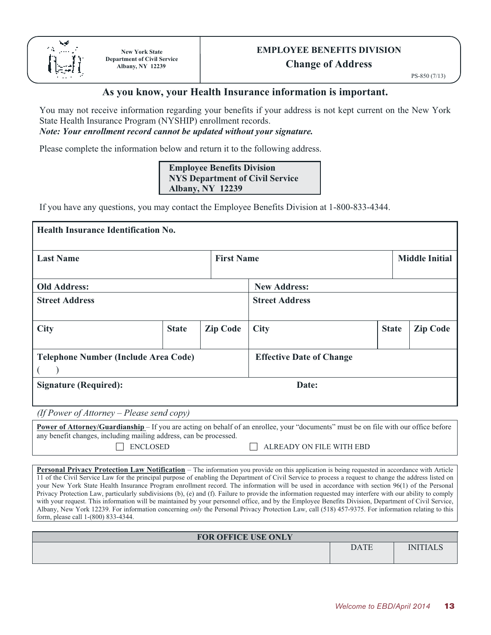

# **EMPLOYEE BENEFITS DIVISION**

**Change of Address** 

PS-850 (7/13)

#### **As you know, your Health Insurance information is important.**

You may not receive information regarding your benefits if your address is not kept current on the New York State Health Insurance Program (NYSHIP) enrollment records.

#### *Note: Your enrollment record cannot be updated without your signature.*

Please complete the information below and return it to the following address.

#### **Employee Benefits Division NYS Department of Civil Service Albany, NY 12239**

If you have any questions, you may contact the Employee Benefits Division at 1-800-833-4344.

| Health Insurance Identification No.         |              |                       |                                 |              |                       |
|---------------------------------------------|--------------|-----------------------|---------------------------------|--------------|-----------------------|
| <b>Last Name</b>                            |              | <b>First Name</b>     |                                 |              | <b>Middle Initial</b> |
| <b>Old Address:</b>                         |              |                       | <b>New Address:</b>             |              |                       |
| <b>Street Address</b>                       |              | <b>Street Address</b> |                                 |              |                       |
| <b>City</b>                                 | <b>State</b> | <b>Zip Code</b>       | <b>City</b>                     | <b>State</b> | <b>Zip Code</b>       |
| <b>Telephone Number (Include Area Code)</b> |              |                       | <b>Effective Date of Change</b> |              |                       |
| <b>Signature (Required):</b>                |              |                       | Date:                           |              |                       |

*(If Power of Attorney – Please send copy)*

| <b>Power of Attorney/Guardianship</b> – If you are acting on behalf of an enrollee, your "documents" must be on file with our office before |                          |
|---------------------------------------------------------------------------------------------------------------------------------------------|--------------------------|
| any benefit changes, including mailing address, can be processed.                                                                           |                          |
| <b>ENCLOSED</b>                                                                                                                             | ALREADY ON FILE WITH EBD |

**Personal Privacy Protection Law Notification** – The information you provide on this application is being requested in accordance with Article 11 of the Civil Service Law for the principal purpose of enabling the Department of Civil Service to process a request to change the address listed on your New York State Health Insurance Program enrollment record. The information will be used in accordance with section 96(1) of the Personal Privacy Protection Law, particularly subdivisions (b), (e) and (f). Failure to provide the information requested may interfere with our ability to comply with your request. This information will be maintained by your personnel office, and by the Employee Benefits Division, Department of Civil Service, Albany, New York 12239. For information concerning *only* the Personal Privacy Protection Law, call (518) 457-9375. For information relating to this form, please call 1-(800) 833-4344.

| <b>FOR OFFICE USE ONLY</b> |             |                 |
|----------------------------|-------------|-----------------|
|                            | <b>DATE</b> | <b>INITIALS</b> |
|                            |             |                 |